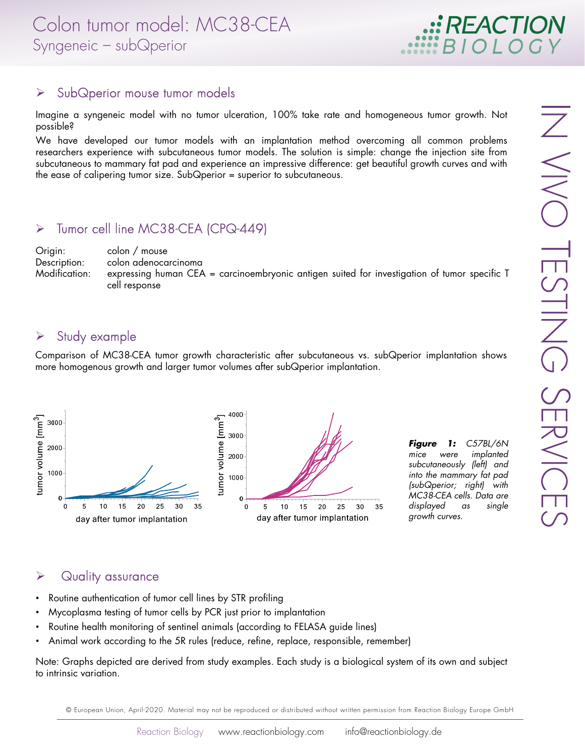

#### $\triangleright$  SubQperior mouse tumor models

Imagine a syngeneic model with no tumor ulceration, 100% take rate and homogeneous tumor growth. Not possible?

We have developed our tumor models with an implantation method overcoming all common problems researchers experience with subcutaneous tumor models. The solution is simple: change the injection site from subcutaneous to mammary fat pad and experience an impressive difference: get beautiful growth curves and with the ease of calipering tumor size. SubQperior = superior to subcutaneous.

#### > Tumor cell line MC38-CEA (CPQ-449)

Origin: colon / mouse Description: colon adenocarcinoma Modification: expressing human CEA = carcinoembryonic antigen suited for investigation of tumor specific T cell response

### $\triangleright$  Study example

Comparison of MC38-CEA tumor growth characteristic after subcutaneous vs. subQperior implantation shows more homogenous growth and larger tumor volumes after subQperior implantation.



**Figure 1:** C57BL/6N<br>mice were implanted implanted subcutaneously (left) and into the mammary fat pad (subQperior; right) with MC38-CEA cells. Data are displayed as single growth curves.

### $\triangleright$  Quality assurance

- Routine authentication of tumor cell lines by STR profiling
- Mycoplasma testing of tumor cells by PCR just prior to implantation
- Routine health monitoring of sentinel animals (according to FELASA guide lines)
- Animal work according to the 5R rules (reduce, refine, replace, responsible, remember)

Note: Graphs depicted are derived from study examples. Each study is a biological system of its own and subject to intrinsic variation.

© European Union, April-2020. Material may not be reproduced or distributed without written permission from Reaction Biology Europe GmbH